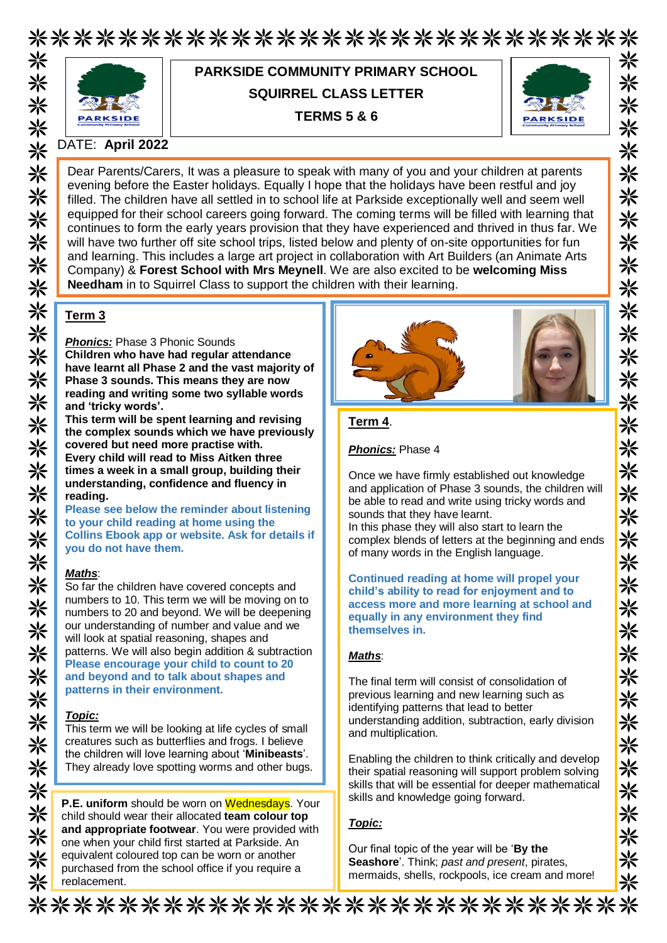\*\*\*\*\*\*\*\*\*\*\*\*\*\*\*\*\*\*\*\*\*\*\*\*\*\*\*



# **PARKSIDE COMMUNITY PRIMARY SCHOOL SQUIRREL CLASS LETTER TERMS 5 & 6**



⋇ ⋇

米

米

米

米 氺

米

米

米

米

米

米

☀ 米

米 ☀ 米

☀

氺

米 米

米

米

☀

米

☀

米 米

☀ 氺

☀ ⋇

米

☀

⋇

#### DATE: **April 2022**

Dear Parents/Carers, It was a pleasure to speak with many of you and your children at parents evening before the Easter holidays. Equally I hope that the holidays have been restful and joy filled. The children have all settled in to school life at Parkside exceptionally well and seem well equipped for their school careers going forward. The coming terms will be filled with learning that continues to form the early years provision that they have experienced and thrived in thus far. We will have two further off site school trips, listed below and plenty of on-site opportunities for fun and learning. This includes a large art project in collaboration with Art Builders (an Animate Arts Company) & **Forest School with Mrs Meynell**. We are also excited to be **welcoming Miss Needham** in to Squirrel Class to support the children with their learning.

## **Term 3**

*Phonics:* Phase 3 Phonic Sounds **Children who have had regular attendance have learnt all Phase 2 and the vast majority of Phase 3 sounds. This means they are now reading and writing some two syllable words and 'tricky words'.**

**This term will be spent learning and revising the complex sounds which we have previously covered but need more practise with. Every child will read to Miss Aitken three times a week in a small group, building their understanding, confidence and fluency in reading.**

**Please see below the reminder about listening to your child reading at home using the Collins Ebook app or website. Ask for details if you do not have them.**

#### *Maths*:

So far the children have covered concepts and numbers to 10. This term we will be moving on to numbers to 20 and beyond. We will be deepening our understanding of number and value and we will look at spatial reasoning, shapes and patterns. We will also begin addition & subtraction **Please encourage your child to count to 20 and beyond and to talk about shapes and patterns in their environment.**

#### *Topic:*

This term we will be looking at life cycles of small creatures such as butterflies and frogs. I believe the children will love learning about '**Minibeasts**'. They already love spotting worms and other bugs.

**P.E. uniform** should be worn on Wednesdays. Your child should wear their allocated **team colour top and appropriate footwear**. You were provided with one when your child first started at Parkside. An equivalent coloured top can be worn or another purchased from the school office if you require a replacement.



#### **Term 4**.

*Phonics:* Phase 4

Once we have firmly established out knowledge and application of Phase 3 sounds, the children will be able to read and write using tricky words and sounds that they have learnt. In this phase they will also start to learn the complex blends of letters at the beginning and ends of many words in the English language.

**Continued reading at home will propel your child's ability to read for enjoyment and to access more and more learning at school and equally in any environment they find themselves in.** 

#### *Maths*:

The final term will consist of consolidation of previous learning and new learning such as identifying patterns that lead to better understanding addition, subtraction, early division and multiplication.

Enabling the children to think critically and develop their spatial reasoning will support problem solving skills that will be essential for deeper mathematical skills and knowledge going forward.

#### *Topic:*

Our final topic of the year will be '**By the Seashore**'. Think; *past and present*, pirates, mermaids, shells, rockpools, ice cream and more!